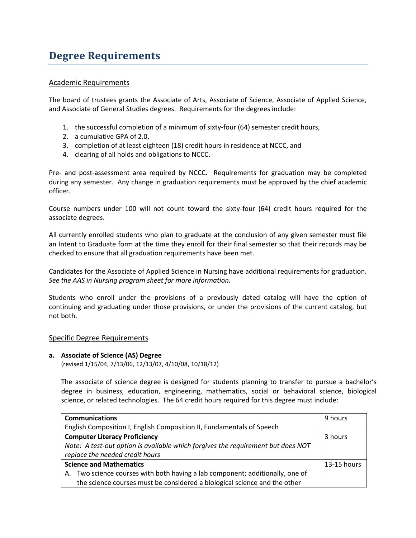# **Degree Requirements**

## Academic Requirements

The board of trustees grants the Associate of Arts, Associate of Science, Associate of Applied Science, and Associate of General Studies degrees. Requirements for the degrees include:

- 1. the successful completion of a minimum of sixty-four (64) semester credit hours,
- 2. a cumulative GPA of 2.0,
- 3. completion of at least eighteen (18) credit hours in residence at NCCC, and
- 4. clearing of all holds and obligations to NCCC.

Pre- and post-assessment area required by NCCC. Requirements for graduation may be completed during any semester. Any change in graduation requirements must be approved by the chief academic officer.

Course numbers under 100 will not count toward the sixty-four (64) credit hours required for the associate degrees.

All currently enrolled students who plan to graduate at the conclusion of any given semester must file an Intent to Graduate form at the time they enroll for their final semester so that their records may be checked to ensure that all graduation requirements have been met.

Candidates for the Associate of Applied Science in Nursing have additional requirements for graduation. *See the AAS in Nursing program sheet for more information.*

Students who enroll under the provisions of a previously dated catalog will have the option of continuing and graduating under those provisions, or under the provisions of the current catalog, but not both.

#### Specific Degree Requirements

#### **a. Associate of Science (AS) Degree**

(revised 1/15/04, 7/13/06, 12/13/07, 4/10/08, 10/18/12)

The associate of science degree is designed for students planning to transfer to pursue a bachelor's degree in business, education, engineering, mathematics, social or behavioral science, biological science, or related technologies. The 64 credit hours required for this degree must include:

| <b>Communications</b>                                                            | 9 hours     |
|----------------------------------------------------------------------------------|-------------|
| English Composition I, English Composition II, Fundamentals of Speech            |             |
| <b>Computer Literacy Proficiency</b>                                             | 3 hours     |
| Note: A test-out option is available which forgives the requirement but does NOT |             |
| replace the needed credit hours                                                  |             |
| <b>Science and Mathematics</b>                                                   | 13-15 hours |
| Two science courses with both having a lab component; additionally, one of<br>А. |             |
| the science courses must be considered a biological science and the other        |             |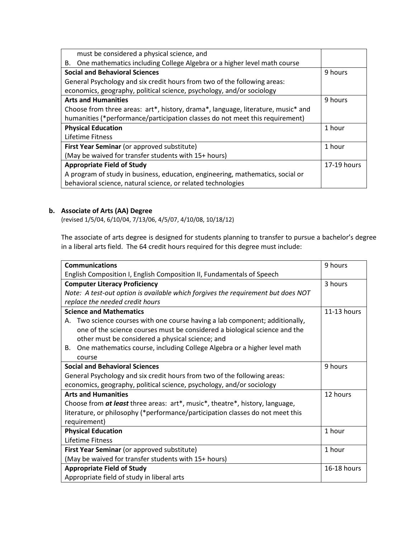| must be considered a physical science, and                                       |             |
|----------------------------------------------------------------------------------|-------------|
| One mathematics including College Algebra or a higher level math course<br>В.    |             |
| <b>Social and Behavioral Sciences</b>                                            | 9 hours     |
| General Psychology and six credit hours from two of the following areas:         |             |
| economics, geography, political science, psychology, and/or sociology            |             |
| <b>Arts and Humanities</b>                                                       | 9 hours     |
| Choose from three areas: art*, history, drama*, language, literature, music* and |             |
| humanities (*performance/participation classes do not meet this requirement)     |             |
| <b>Physical Education</b>                                                        | 1 hour      |
| Lifetime Fitness                                                                 |             |
| First Year Seminar (or approved substitute)                                      | 1 hour      |
| (May be waived for transfer students with 15+ hours)                             |             |
| <b>Appropriate Field of Study</b>                                                | 17-19 hours |
| A program of study in business, education, engineering, mathematics, social or   |             |
| behavioral science, natural science, or related technologies                     |             |

# **b. Associate of Arts (AA) Degree**

(revised 1/5/04, 6/10/04, 7/13/06, 4/5/07, 4/10/08, 10/18/12)

The associate of arts degree is designed for students planning to transfer to pursue a bachelor's degree in a liberal arts field. The 64 credit hours required for this degree must include:

| <b>Communications</b>                                                            | 9 hours     |
|----------------------------------------------------------------------------------|-------------|
| English Composition I, English Composition II, Fundamentals of Speech            |             |
| <b>Computer Literacy Proficiency</b>                                             | 3 hours     |
| Note: A test-out option is available which forgives the requirement but does NOT |             |
| replace the needed credit hours                                                  |             |
| <b>Science and Mathematics</b>                                                   | 11-13 hours |
| A. Two science courses with one course having a lab component; additionally,     |             |
| one of the science courses must be considered a biological science and the       |             |
| other must be considered a physical science; and                                 |             |
| One mathematics course, including College Algebra or a higher level math<br>В.   |             |
| course                                                                           |             |
| <b>Social and Behavioral Sciences</b>                                            | 9 hours     |
| General Psychology and six credit hours from two of the following areas:         |             |
| economics, geography, political science, psychology, and/or sociology            |             |
| <b>Arts and Humanities</b>                                                       | 12 hours    |
| Choose from at least three areas: art*, music*, theatre*, history, language,     |             |
| literature, or philosophy (*performance/participation classes do not meet this   |             |
| requirement)                                                                     |             |
| <b>Physical Education</b>                                                        | 1 hour      |
| Lifetime Fitness                                                                 |             |
| First Year Seminar (or approved substitute)                                      | 1 hour      |
| (May be waived for transfer students with 15+ hours)                             |             |
| <b>Appropriate Field of Study</b>                                                | 16-18 hours |
| Appropriate field of study in liberal arts                                       |             |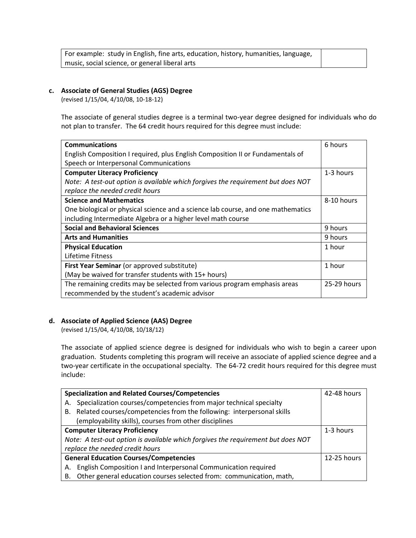| For example: study in English, fine arts, education, history, humanities, language, |  |
|-------------------------------------------------------------------------------------|--|
| music, social science, or general liberal arts                                      |  |

#### **c. Associate of General Studies (AGS) Degree**

(revised 1/15/04, 4/10/08, 10-18-12)

The associate of general studies degree is a terminal two-year degree designed for individuals who do not plan to transfer. The 64 credit hours required for this degree must include:

| <b>Communications</b>                                                            | 6 hours     |
|----------------------------------------------------------------------------------|-------------|
| English Composition I required, plus English Composition II or Fundamentals of   |             |
| Speech or Interpersonal Communications                                           |             |
| <b>Computer Literacy Proficiency</b>                                             | 1-3 hours   |
| Note: A test-out option is available which forgives the requirement but does NOT |             |
| replace the needed credit hours                                                  |             |
| <b>Science and Mathematics</b>                                                   | 8-10 hours  |
| One biological or physical science and a science lab course, and one mathematics |             |
| including Intermediate Algebra or a higher level math course                     |             |
| <b>Social and Behavioral Sciences</b>                                            | 9 hours     |
| <b>Arts and Humanities</b>                                                       | 9 hours     |
| <b>Physical Education</b>                                                        | 1 hour      |
| Lifetime Fitness                                                                 |             |
| First Year Seminar (or approved substitute)                                      | 1 hour      |
| (May be waived for transfer students with 15+ hours)                             |             |
| The remaining credits may be selected from various program emphasis areas        | 25-29 hours |
| recommended by the student's academic advisor                                    |             |

## **d. Associate of Applied Science (AAS) Degree**

(revised 1/15/04, 4/10/08, 10/18/12)

The associate of applied science degree is designed for individuals who wish to begin a career upon graduation. Students completing this program will receive an associate of applied science degree and a two-year certificate in the occupational specialty. The 64-72 credit hours required for this degree must include:

| <b>Specialization and Related Courses/Competencies</b>                           | 42-48 hours |
|----------------------------------------------------------------------------------|-------------|
| Specialization courses/competencies from major technical specialty<br>А.         |             |
| B. Related courses/competencies from the following: interpersonal skills         |             |
| (employability skills), courses from other disciplines                           |             |
| <b>Computer Literacy Proficiency</b>                                             | 1-3 hours   |
| Note: A test-out option is available which forgives the requirement but does NOT |             |
| replace the needed credit hours                                                  |             |
| <b>General Education Courses/Competencies</b>                                    | 12-25 hours |
| English Composition I and Interpersonal Communication required<br>А.             |             |
| Other general education courses selected from: communication, math,<br>В.        |             |